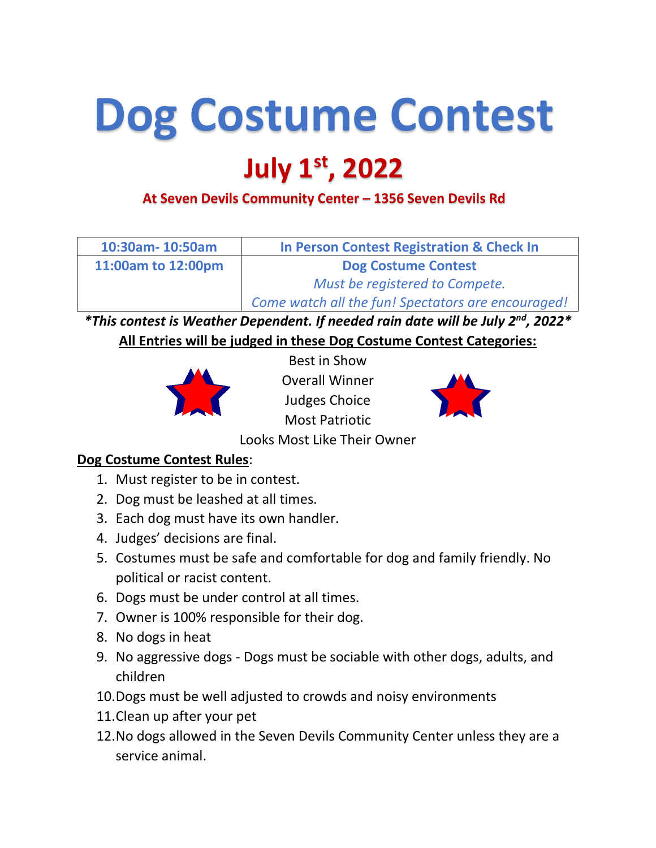## **Dog Costume Contest**

## **July 1st, 2022**

**At Seven Devils Community Center – 1356 Seven Devils Rd**

| 10:30am-10:50am    | <b>In Person Contest Registration &amp; Check In</b> |
|--------------------|------------------------------------------------------|
| 11:00am to 12:00pm | <b>Dog Costume Contest</b>                           |
|                    | Must be registered to Compete.                       |
|                    | Come watch all the fun! Spectators are encouraged!   |

*\*This contest is Weather Dependent. If needed rain date will be July 2nd, 2022\** **All Entries will be judged in these Dog Costume Contest Categories:**



Best in Show Overall Winner Judges Choice Most Patriotic



Looks Most Like Their Owner

## **Dog Costume Contest Rules**:

- 1. Must register to be in contest.
- 2. Dog must be leashed at all times.
- 3. Each dog must have its own handler.
- 4. Judges' decisions are final.
- 5. Costumes must be safe and comfortable for dog and family friendly. No political or racist content.
- 6. Dogs must be under control at all times.
- 7. Owner is 100% responsible for their dog.
- 8. No dogs in heat
- 9. No aggressive dogs Dogs must be sociable with other dogs, adults, and children
- 10.Dogs must be well adjusted to crowds and noisy environments
- 11.Clean up after your pet
- 12.No dogs allowed in the Seven Devils Community Center unless they are a service animal.